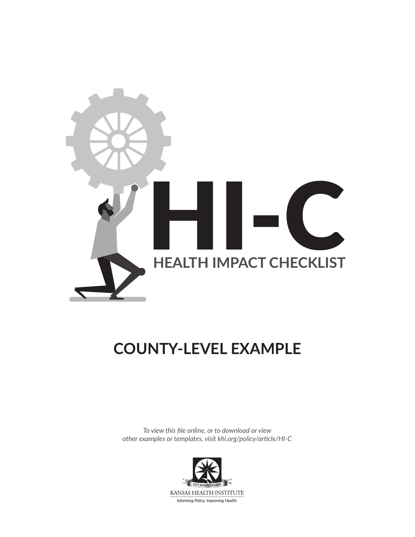

# **COUNTY-LEVEL EXAMPLE**

*To view this file online, or to download or view other examples or templates, visit [khi.org/policy/article/HI-C](https://www.khi.org/policy/article/HI-C)*

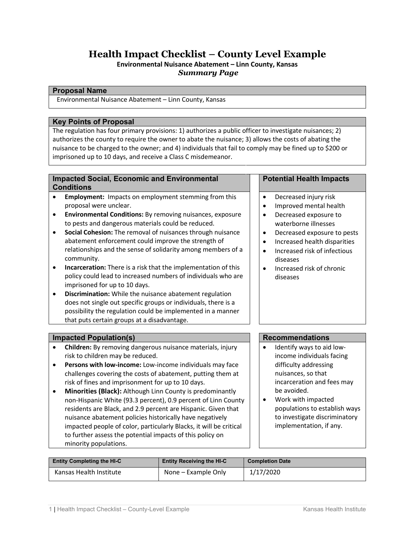## **Health Impact Checklist – County Level Example**

**Environmental Nuisance Abatement – Linn County, Kansas** *Summary Page*

#### **Proposal Name**

Environmental Nuisance Abatement – Linn County, Kansas

#### **Key Points of Proposal**

The regulation has four primary provisions: 1) authorizes a public officer to investigate nuisances; 2) authorizes the county to require the owner to abate the nuisance; 3) allows the costs of abating the nuisance to be charged to the owner; and 4) individuals that fail to comply may be fined up to \$200 or imprisoned up to 10 days, and receive a Class C misdemeanor.

#### **Impacted Social, Economic and Environmental Conditions**

- **Employment:** Impacts on employment stemming from this proposal were unclear.
- **Environmental Conditions:** By removing nuisances, exposure to pests and dangerous materials could be reduced.
- **Social Cohesion:** The removal of nuisances through nuisance abatement enforcement could improve the strength of relationships and the sense of solidarity among members of a community.
- **Incarceration:** There is a risk that the implementation of this policy could lead to increased numbers of individuals who are imprisoned for up to 10 days.
- **Discrimination:** While the nuisance abatement regulation does not single out specific groups or individuals, there is a possibility the regulation could be implemented in a manner that puts certain groups at a disadvantage.

#### **Impacted Population(s) Recommendations**

- **Children:** By removing dangerous nuisance materials, injury risk to children may be reduced.
- **Persons with low-income:** Low-income individuals may face challenges covering the costs of abatement, putting them at risk of fines and imprisonment for up to 10 days.
- **Minorities (Black):** Although Linn County is predominantly non-Hispanic White (93.3 percent), 0.9 percent of Linn County residents are Black, and 2.9 percent are Hispanic. Given that nuisance abatement policies historically have negatively impacted people of color, particularly Blacks, it will be critical to further assess the potential impacts of this policy on minority populations.

#### **Potential Health Impacts**

- Decreased injury risk
- Improved mental health
- Decreased exposure to waterborne illnesses
- Decreased exposure to pests
- Increased health disparities
- Increased risk of infectious diseases
- Increased risk of chronic diseases

- Identify ways to aid lowincome individuals facing difficulty addressing nuisances, so that incarceration and fees may be avoided.
- Work with impacted populations to establish ways to investigate discriminatory implementation, if any.

| <b>Entity Completing the HI-C</b> | <b>Entity Receiving the HI-C</b> | <b>Completion Date</b> |
|-----------------------------------|----------------------------------|------------------------|
| Kansas Health Institute           | None – Example Only              | 1/17/2020              |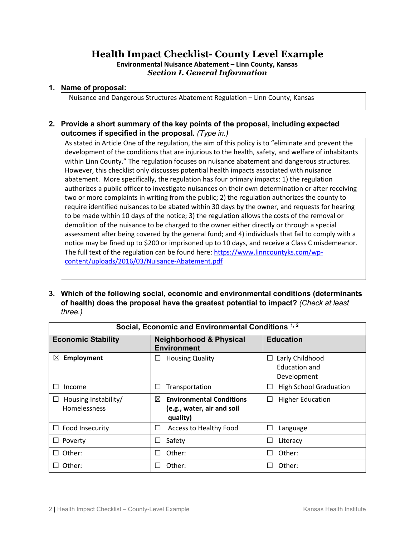# **Health Impact Checklist- County Level Example**

**Environmental Nuisance Abatement – Linn County, Kansas** *Section I. General Information*

#### **1. Name of proposal:**

Nuisance and Dangerous Structures Abatement Regulation – Linn County, Kansas

#### **2. Provide a short summary of the key points of the proposal, including expected outcomes if specified in the proposal.** *(Type in.)*

As stated in Article One of the regulation, the aim of this policy is to "eliminate and prevent the development of the conditions that are injurious to the health, safety, and welfare of inhabitants within Linn County." The regulation focuses on nuisance abatement and dangerous structures. However, this checklist only discusses potential health impacts associated with nuisance abatement. More specifically, the regulation has four primary impacts: 1) the regulation authorizes a public officer to investigate nuisances on their own determination or after receiving two or more complaints in writing from the public; 2) the regulation authorizes the county to require identified nuisances to be abated within 30 days by the owner, and requests for hearing to be made within 10 days of the notice; 3) the regulation allows the costs of the removal or demolition of the nuisance to be charged to the owner either directly or through a special assessment after being covered by the general fund; and 4) individuals that fail to comply with a notice may be fined up to \$200 or imprisoned up to 10 days, and receive a Class C misdemeanor. The full text of the regulation can be found here: [https://www.linncountyks.com/wp](https://www.linncountyks.com/wp-content/uploads/2016/03/Nuisance-Abatement.pdf)[content/uploads/2016/03/Nuisance-Abatement.pdf](https://www.linncountyks.com/wp-content/uploads/2016/03/Nuisance-Abatement.pdf)

**3. Which of the following social, economic and environmental conditions (determinants of health) does the proposal have the greatest potential to impact?** *(Check at least three.)*

| Social, Economic and Environmental Conditions <sup>1,2</sup> |                                                                                |                                                             |
|--------------------------------------------------------------|--------------------------------------------------------------------------------|-------------------------------------------------------------|
| <b>Economic Stability</b>                                    | <b>Neighborhood &amp; Physical</b><br><b>Environment</b>                       | <b>Education</b>                                            |
| Employment<br>$\boxtimes$                                    | <b>Housing Quality</b>                                                         | Early Childhood<br>⊔<br><b>Education and</b><br>Development |
| Income                                                       | Transportation                                                                 | <b>High School Graduation</b><br>ΙI                         |
| Housing Instability/<br>⊔<br>Homelessness                    | <b>Environmental Conditions</b><br>⊠<br>(e.g., water, air and soil<br>quality) | <b>Higher Education</b><br>⊔                                |
| $\Box$ Food Insecurity                                       | Access to Healthy Food                                                         | ΙI<br>Language                                              |
| Poverty                                                      | Safety                                                                         | Literacy<br>ΙI                                              |
| Other:                                                       | Other:                                                                         | Other:<br>ΙI                                                |
| Other:                                                       | Other:                                                                         | Other:                                                      |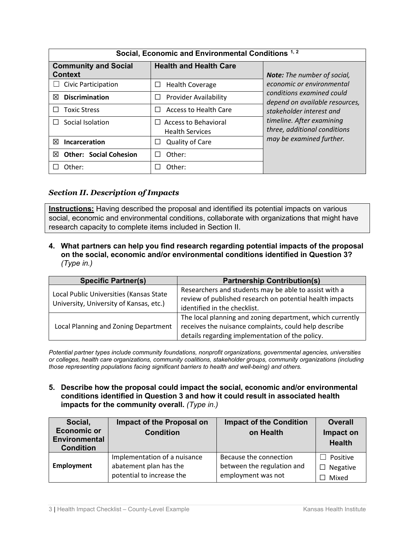| Social, Economic and Environmental Conditions 1, 2 |                                                                       |                                                             |  |
|----------------------------------------------------|-----------------------------------------------------------------------|-------------------------------------------------------------|--|
| <b>Community and Social</b><br><b>Context</b>      | <b>Health and Health Care</b>                                         | <b>Note:</b> The number of social,                          |  |
| Civic Participation                                | <b>Health Coverage</b><br>$\Box$                                      | economic or environmental                                   |  |
| <b>Discrimination</b><br>⊠                         | <b>Provider Availability</b>                                          | conditions examined could<br>depend on available resources, |  |
| <b>Toxic Stress</b>                                | <b>Access to Health Care</b>                                          | stakeholder interest and                                    |  |
| Social Isolation                                   | <b>Access to Behavioral</b><br>$\mathsf{L}$<br><b>Health Services</b> | timeline. After examining<br>three, additional conditions   |  |
| 冈<br>Incarceration                                 | <b>Quality of Care</b>                                                | may be examined further.                                    |  |
| <b>Other: Social Cohesion</b><br>冈                 | Other:                                                                |                                                             |  |
| Other:                                             | Other:                                                                |                                                             |  |

#### *Section II. Description of Impacts*

**Instructions:** Having described the proposal and identified its potential impacts on various social, economic and environmental conditions, collaborate with organizations that might have research capacity to complete items included in Section II.

**4. What partners can help you find research regarding potential impacts of the proposal on the social, economic and/or environmental conditions identified in Question 3?** *(Type in.)*

| <b>Specific Partner(s)</b>                                                         | <b>Partnership Contribution(s)</b>                                                                                                                                    |
|------------------------------------------------------------------------------------|-----------------------------------------------------------------------------------------------------------------------------------------------------------------------|
| Local Public Universities (Kansas State<br>University, University of Kansas, etc.) | Researchers and students may be able to assist with a<br>review of published research on potential health impacts<br>identified in the checklist.                     |
| Local Planning and Zoning Department                                               | The local planning and zoning department, which currently<br>receives the nuisance complaints, could help describe<br>details regarding implementation of the policy. |

*Potential partner types include community foundations, nonprofit organizations, governmental agencies, universities or colleges, health care organizations, community coalitions, stakeholder groups, community organizations (including those representing populations facing significant barriers to health and well-being) and others.*

**5. Describe how the proposal could impact the social, economic and/or environmental conditions identified in Question 3 and how it could result in associated health impacts for the community overall.** *(Type in.)*

| Social,                                  | Impact of the Proposal on    | <b>Impact of the Condition</b> | <b>Overall</b>  |
|------------------------------------------|------------------------------|--------------------------------|-----------------|
| <b>Economic or</b>                       | <b>Condition</b>             | on Health                      | Impact on       |
| <b>Environmental</b><br><b>Condition</b> |                              |                                | <b>Health</b>   |
|                                          | Implementation of a nuisance | Because the connection         | Positive        |
| Employment                               | abatement plan has the       | between the regulation and     | $\Box$ Negative |
|                                          | potential to increase the    | employment was not             | Mixed           |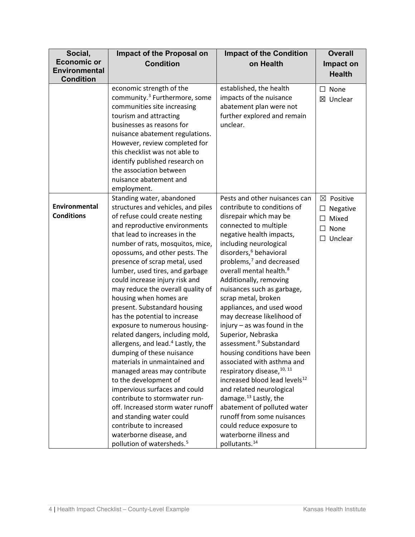| Social,                            | Impact of the Proposal on                                                                                                                                                                                                                                                                                                                                                                                                                                                                                                                                                                                                                                                                                                                                                                                                                                                                                                                                      | <b>Impact of the Condition</b>                                                                                                                                                                                                                                                                                                                                                                                                                                                                                                                                                                                                                                                                                                                                                                                                                                                          | <b>Overall</b>                                                                 |
|------------------------------------|----------------------------------------------------------------------------------------------------------------------------------------------------------------------------------------------------------------------------------------------------------------------------------------------------------------------------------------------------------------------------------------------------------------------------------------------------------------------------------------------------------------------------------------------------------------------------------------------------------------------------------------------------------------------------------------------------------------------------------------------------------------------------------------------------------------------------------------------------------------------------------------------------------------------------------------------------------------|-----------------------------------------------------------------------------------------------------------------------------------------------------------------------------------------------------------------------------------------------------------------------------------------------------------------------------------------------------------------------------------------------------------------------------------------------------------------------------------------------------------------------------------------------------------------------------------------------------------------------------------------------------------------------------------------------------------------------------------------------------------------------------------------------------------------------------------------------------------------------------------------|--------------------------------------------------------------------------------|
| <b>Economic or</b>                 | <b>Condition</b><br>on Health                                                                                                                                                                                                                                                                                                                                                                                                                                                                                                                                                                                                                                                                                                                                                                                                                                                                                                                                  |                                                                                                                                                                                                                                                                                                                                                                                                                                                                                                                                                                                                                                                                                                                                                                                                                                                                                         | Impact on                                                                      |
| <b>Environmental</b>               |                                                                                                                                                                                                                                                                                                                                                                                                                                                                                                                                                                                                                                                                                                                                                                                                                                                                                                                                                                |                                                                                                                                                                                                                                                                                                                                                                                                                                                                                                                                                                                                                                                                                                                                                                                                                                                                                         | <b>Health</b>                                                                  |
| <b>Condition</b>                   |                                                                                                                                                                                                                                                                                                                                                                                                                                                                                                                                                                                                                                                                                                                                                                                                                                                                                                                                                                |                                                                                                                                                                                                                                                                                                                                                                                                                                                                                                                                                                                                                                                                                                                                                                                                                                                                                         |                                                                                |
|                                    | economic strength of the<br>community. <sup>3</sup> Furthermore, some<br>communities site increasing<br>tourism and attracting<br>businesses as reasons for<br>nuisance abatement regulations.<br>However, review completed for<br>this checklist was not able to<br>identify published research on<br>the association between<br>nuisance abatement and<br>employment.                                                                                                                                                                                                                                                                                                                                                                                                                                                                                                                                                                                        | established, the health<br>impacts of the nuisance<br>abatement plan were not<br>further explored and remain<br>unclear.                                                                                                                                                                                                                                                                                                                                                                                                                                                                                                                                                                                                                                                                                                                                                                | None<br>$\Box$<br>⊠ Unclear                                                    |
| Environmental<br><b>Conditions</b> | Standing water, abandoned<br>structures and vehicles, and piles<br>of refuse could create nesting<br>and reproductive environments<br>that lead to increases in the<br>number of rats, mosquitos, mice,<br>opossums, and other pests. The<br>presence of scrap metal, used<br>lumber, used tires, and garbage<br>could increase injury risk and<br>may reduce the overall quality of<br>housing when homes are<br>present. Substandard housing<br>has the potential to increase<br>exposure to numerous housing-<br>related dangers, including mold,<br>allergens, and lead. <sup>4</sup> Lastly, the<br>dumping of these nuisance<br>materials in unmaintained and<br>managed areas may contribute<br>to the development of<br>impervious surfaces and could<br>contribute to stormwater run-<br>off. Increased storm water runoff<br>and standing water could<br>contribute to increased<br>waterborne disease, and<br>pollution of watersheds. <sup>5</sup> | Pests and other nuisances can<br>contribute to conditions of<br>disrepair which may be<br>connected to multiple<br>negative health impacts,<br>including neurological<br>disorders, <sup>6</sup> behavioral<br>problems, $^7$ and decreased<br>overall mental health. <sup>8</sup><br>Additionally, removing<br>nuisances such as garbage,<br>scrap metal, broken<br>appliances, and used wood<br>may decrease likelihood of<br>injury $-$ as was found in the<br>Superior, Nebraska<br>assessment. <sup>9</sup> Substandard<br>housing conditions have been<br>associated with asthma and<br>respiratory disease, 10, 11<br>increased blood lead levels <sup>12</sup><br>and related neurological<br>damage. <sup>13</sup> Lastly, the<br>abatement of polluted water<br>runoff from some nuisances<br>could reduce exposure to<br>waterborne illness and<br>pollutants. <sup>14</sup> | Positive<br>⊠<br>Negative<br>□<br>Mixed<br>$\Box$<br>None<br>П<br>Unclear<br>□ |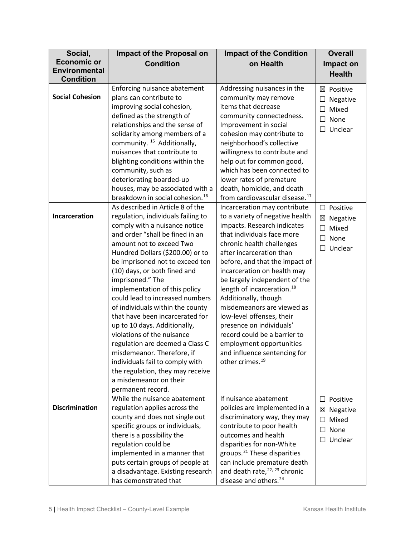| Social,                | Impact of the Proposal on                                        | <b>Impact of the Condition</b>                                       | <b>Overall</b>       |
|------------------------|------------------------------------------------------------------|----------------------------------------------------------------------|----------------------|
| <b>Economic or</b>     | <b>Condition</b>                                                 | on Health                                                            | Impact on            |
| <b>Environmental</b>   |                                                                  |                                                                      | <b>Health</b>        |
| <b>Condition</b>       | Enforcing nuisance abatement                                     | Addressing nuisances in the                                          |                      |
| <b>Social Cohesion</b> | plans can contribute to                                          | community may remove                                                 | ⊠ Positive           |
|                        | improving social cohesion,                                       | items that decrease                                                  | Negative<br>□        |
|                        | defined as the strength of                                       | community connectedness.                                             | Mixed<br>$\Box$      |
|                        | relationships and the sense of                                   | Improvement in social                                                | $\Box$<br>None       |
|                        | solidarity among members of a                                    | cohesion may contribute to                                           | $\Box$ Unclear       |
|                        | community. <sup>15</sup> Additionally,                           | neighborhood's collective                                            |                      |
|                        | nuisances that contribute to                                     | willingness to contribute and                                        |                      |
|                        | blighting conditions within the                                  | help out for common good,                                            |                      |
|                        | community, such as                                               | which has been connected to                                          |                      |
|                        | deteriorating boarded-up                                         | lower rates of premature                                             |                      |
|                        | houses, may be associated with a                                 | death, homicide, and death                                           |                      |
|                        | breakdown in social cohesion. <sup>16</sup>                      | from cardiovascular disease. <sup>17</sup>                           |                      |
|                        | As described in Article 8 of the                                 | Incarceration may contribute                                         | $\Box$<br>Positive   |
| Incarceration          | regulation, individuals failing to                               | to a variety of negative health                                      | $\boxtimes$ Negative |
|                        | comply with a nuisance notice                                    | impacts. Research indicates                                          | Mixed<br>$\Box$      |
|                        | and order "shall be fined in an                                  | that individuals face more                                           | $\Box$ None          |
|                        | amount not to exceed Two                                         | chronic health challenges                                            | Unclear<br>$\Box$    |
|                        | Hundred Dollars (\$200.00) or to                                 | after incarceration than                                             |                      |
|                        | be imprisoned not to exceed ten                                  | before, and that the impact of                                       |                      |
|                        | (10) days, or both fined and<br>imprisoned." The                 | incarceration on health may<br>be largely independent of the         |                      |
|                        | implementation of this policy                                    | length of incarceration. <sup>18</sup>                               |                      |
|                        | could lead to increased numbers                                  | Additionally, though                                                 |                      |
|                        | of individuals within the county                                 | misdemeanors are viewed as                                           |                      |
|                        | that have been incarcerated for                                  | low-level offenses, their                                            |                      |
|                        | up to 10 days. Additionally,                                     | presence on individuals'                                             |                      |
|                        | violations of the nuisance                                       | record could be a barrier to                                         |                      |
|                        | regulation are deemed a Class C                                  | employment opportunities                                             |                      |
|                        | misdemeanor. Therefore, if                                       | and influence sentencing for                                         |                      |
|                        | individuals fail to comply with                                  | other crimes. <sup>19</sup>                                          |                      |
|                        | the regulation, they may receive                                 |                                                                      |                      |
|                        | a misdemeanor on their                                           |                                                                      |                      |
|                        | permanent record.                                                |                                                                      |                      |
|                        | While the nuisance abatement                                     | If nuisance abatement                                                | Positive<br>$\Box$   |
| <b>Discrimination</b>  | regulation applies across the                                    | policies are implemented in a                                        | Negative<br>×        |
|                        | county and does not single out                                   | discriminatory way, they may                                         | Mixed<br>$\perp$     |
|                        | specific groups or individuals,                                  | contribute to poor health                                            | $\Box$ None          |
|                        | there is a possibility the                                       | outcomes and health                                                  | $\Box$ Unclear       |
|                        | regulation could be                                              | disparities for non-White<br>groups. <sup>21</sup> These disparities |                      |
|                        | implemented in a manner that<br>puts certain groups of people at | can include premature death                                          |                      |
|                        | a disadvantage. Existing research                                | and death rate, <sup>22, 23</sup> chronic                            |                      |
|                        | has demonstrated that                                            | disease and others. <sup>24</sup>                                    |                      |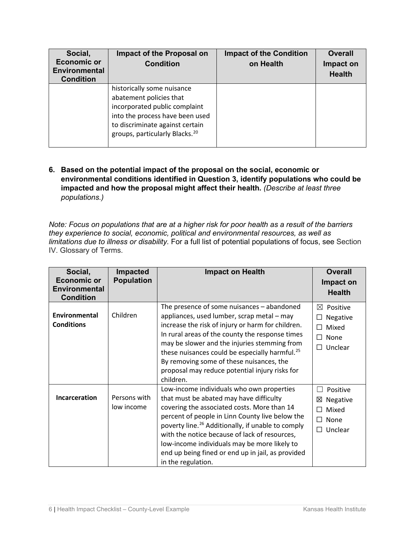| Social,<br><b>Economic or</b><br><b>Environmental</b><br><b>Condition</b> | Impact of the Proposal on<br><b>Condition</b>                                                                                                                                                              | <b>Impact of the Condition</b><br>on Health | <b>Overall</b><br>Impact on<br><b>Health</b> |
|---------------------------------------------------------------------------|------------------------------------------------------------------------------------------------------------------------------------------------------------------------------------------------------------|---------------------------------------------|----------------------------------------------|
|                                                                           | historically some nuisance<br>abatement policies that<br>incorporated public complaint<br>into the process have been used<br>to discriminate against certain<br>groups, particularly Blacks. <sup>20</sup> |                                             |                                              |

### **6. Based on the potential impact of the proposal on the social, economic or environmental conditions identified in Question 3, identify populations who could be impacted and how the proposal might affect their health.** *(Describe at least three populations.)*

*Note: Focus on populations that are at a higher risk for poor health as a result of the barriers they experience to social, economic, political and environmental resources, as well as limitations due to illness or disability.* For a full list of potential populations of focus, see Section IV. Glossary of Terms.

| Social,<br><b>Economic or</b><br><b>Environmental</b><br><b>Condition</b> | Impacted<br><b>Population</b> | <b>Impact on Health</b>                                                                                                                                                                                                                                                                                                                                                                                                             | <b>Overall</b><br>Impact on<br><b>Health</b>                                             |
|---------------------------------------------------------------------------|-------------------------------|-------------------------------------------------------------------------------------------------------------------------------------------------------------------------------------------------------------------------------------------------------------------------------------------------------------------------------------------------------------------------------------------------------------------------------------|------------------------------------------------------------------------------------------|
| Environmental<br><b>Conditions</b>                                        | Children                      | The presence of some nuisances - abandoned<br>appliances, used lumber, scrap metal - may<br>increase the risk of injury or harm for children.<br>In rural areas of the county the response times<br>may be slower and the injuries stemming from<br>these nuisances could be especially harmful. <sup>25</sup><br>By removing some of these nuisances, the<br>proposal may reduce potential injury risks for<br>children.           | $\boxtimes$ Positive<br>Negative<br>$\Box$<br>Mixed<br>П<br>$\Box$ None<br>Unclear<br>П. |
| Incarceration                                                             | Persons with<br>low income    | Low-income individuals who own properties<br>that must be abated may have difficulty<br>covering the associated costs. More than 14<br>percent of people in Linn County live below the<br>poverty line. <sup>26</sup> Additionally, if unable to comply<br>with the notice because of lack of resources,<br>low-income individuals may be more likely to<br>end up being fined or end up in jail, as provided<br>in the regulation. | Positive<br>Negative<br>⊠<br>Mixed<br>П<br>П<br>None<br>Unclear<br>П.                    |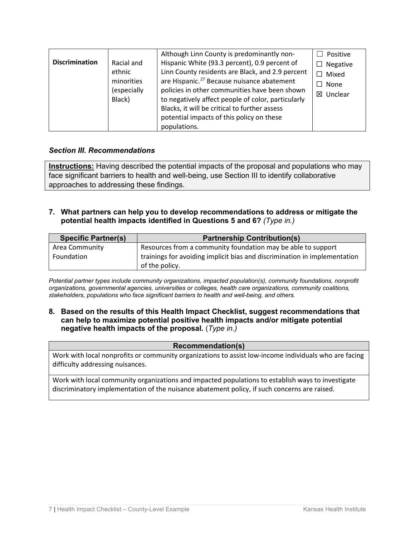| <b>Discrimination</b> | Racial and<br>ethnic<br>minorities<br>(especially<br>Black) | Although Linn County is predominantly non-<br>Hispanic White (93.3 percent), 0.9 percent of<br>Linn County residents are Black, and 2.9 percent<br>are Hispanic. <sup>27</sup> Because nuisance abatement<br>policies in other communities have been shown<br>to negatively affect people of color, particularly<br>Blacks, it will be critical to further assess<br>potential impacts of this policy on these<br>populations. | Positive<br>$\Box$ Negative<br>$\Box$ Mixed<br>$\Box$ None<br>$\boxtimes$ Unclear |
|-----------------------|-------------------------------------------------------------|--------------------------------------------------------------------------------------------------------------------------------------------------------------------------------------------------------------------------------------------------------------------------------------------------------------------------------------------------------------------------------------------------------------------------------|-----------------------------------------------------------------------------------|
|-----------------------|-------------------------------------------------------------|--------------------------------------------------------------------------------------------------------------------------------------------------------------------------------------------------------------------------------------------------------------------------------------------------------------------------------------------------------------------------------------------------------------------------------|-----------------------------------------------------------------------------------|

#### *Section III. Recommendations*

**Instructions:** Having described the potential impacts of the proposal and populations who may face significant barriers to health and well-being, use Section III to identify collaborative approaches to addressing these findings.

**7. What partners can help you to develop recommendations to address or mitigate the potential health impacts identified in Questions 5 and 6?** *(Type in.)*

| <b>Specific Partner(s)</b> | <b>Partnership Contribution(s)</b>                                        |
|----------------------------|---------------------------------------------------------------------------|
| Area Community             | Resources from a community foundation may be able to support              |
| Foundation                 | trainings for avoiding implicit bias and discrimination in implementation |
|                            | of the policy.                                                            |

*Potential partner types include community organizations, impacted population(s), community foundations, nonprofit organizations, governmental agencies, universities or colleges, health care organizations, community coalitions, stakeholders, populations who face significant barriers to health and well-being, and others.*

**8. Based on the results of this Health Impact Checklist, suggest recommendations that can help to maximize potential positive health impacts and/or mitigate potential negative health impacts of the proposal.** (*Type in.)*

#### **Recommendation(s)**

Work with local nonprofits or community organizations to assist low-income individuals who are facing difficulty addressing nuisances.

Work with local community organizations and impacted populations to establish ways to investigate discriminatory implementation of the nuisance abatement policy, if such concerns are raised.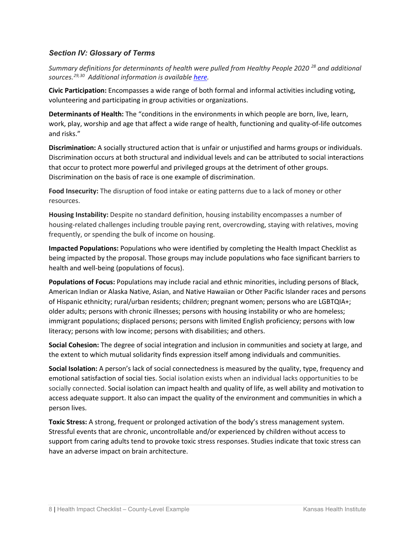#### *Section IV: Glossary of Terms*

*Summary definitions for determinants of health were pulled from Healthy People 2020<sup>[28](#page-10-11)</sup> and additional sources.[29,](#page-10-12)[30](#page-10-13) Additional information is available [here.](https://www.healthypeople.gov/2020/topics-objectives/topic/social-determinants-health/interventions-resources)*

**Civic Participation:** Encompasses a wide range of both formal and informal activities including voting, volunteering and participating in group activities or organizations.

**Determinants of Health:** The "conditions in the environments in which people are born, live, learn, work, play, worship and age that affect a wide range of health, functioning and quality-of-life outcomes and risks."

**Discrimination:** A socially structured action that is unfair or unjustified and harms groups or individuals. Discrimination occurs at both structural and individual levels and can be attributed to social interactions that occur to protect more powerful and privileged groups at the detriment of other groups. Discrimination on the basis of race is one example of discrimination.

**Food Insecurity:** The disruption of food intake or eating patterns due to a lack of money or other resources.

**Housing Instability:** Despite no standard definition, housing instability encompasses a number of housing-related challenges including trouble paying rent, overcrowding, staying with relatives, moving frequently, or spending the bulk of income on housing.

**Impacted Populations:** Populations who were identified by completing the Health Impact Checklist as being impacted by the proposal. Those groups may include populations who face significant barriers to health and well-being (populations of focus).

**Populations of Focus:** Populations may include racial and ethnic minorities, including persons of Black, American Indian or Alaska Native, Asian, and Native Hawaiian or Other Pacific Islander races and persons of Hispanic ethnicity; rural/urban residents; children; pregnant women; persons who are LGBTQIA+; older adults; persons with chronic illnesses; persons with housing instability or who are homeless; immigrant populations; displaced persons; persons with limited English proficiency; persons with low literacy; persons with low income; persons with disabilities; and others.

**Social Cohesion:** The degree of social integration and inclusion in communities and society at large, and the extent to which mutual solidarity finds expression itself among individuals and communities.

**Social Isolation:** A person's lack of social connectedness is measured by the quality, type, frequency and emotional satisfaction of social ties. Social isolation exists when an individual lacks opportunities to be socially connected. Social isolation can impact health and quality of life, as well ability and motivation to access adequate support. It also can impact the quality of the environment and communities in which a person lives.

**Toxic Stress:** A strong, frequent or prolonged activation of the body's stress management system. Stressful events that are chronic, uncontrollable and/or experienced by children without access to support from caring adults tend to provoke toxic stress responses. Studies indicate that toxic stress can have an adverse impact on brain architecture.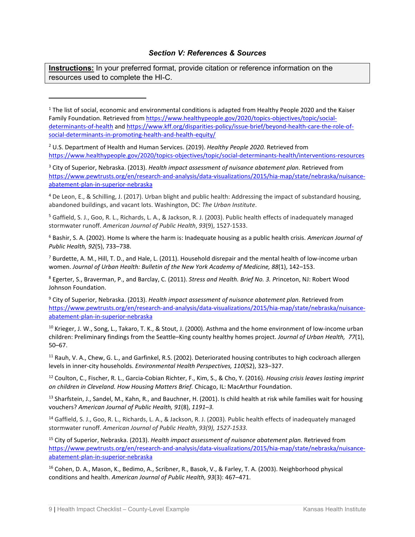#### *Section V: References & Sources*

**Instructions:** In your preferred format, provide citation or reference information on the resources used to complete the HI-C.

<span id="page-9-3"></span><sup>4</sup> De Leon, E., & Schilling, J. (2017). Urban blight and public health: Addressing the impact of substandard housing, abandoned buildings, and vacant lots. Washington, DC: *The Urban Institute*.

<span id="page-9-4"></span><sup>5</sup> Gaffield, S. J., Goo, R. L., Richards, L. A., & Jackson, R. J. (2003). Public health effects of inadequately managed stormwater runoff. *American Journal of Public Health*, *93*(9), 1527-1533.

<span id="page-9-5"></span><sup>6</sup> Bashir, S. A. (2002). Home Is where the harm is: Inadequate housing as a public health crisis. *American Journal of Public Health, 92*(5), 733–738.

<span id="page-9-6"></span> $^7$  Burdette, A. M., Hill, T. D., and Hale, L. (2011). Household disrepair and the mental health of low-income urban women. *Journal of Urban Health: Bulletin of the New York Academy of Medicine, 88*(1), 142–153.

<span id="page-9-7"></span><sup>8</sup> Egerter, S., Braverman, P., and Barclay, C. (2011). *Stress and Health. Brief No. 3. P*rinceton, NJ: Robert Wood Johnson Foundation.

<span id="page-9-8"></span><sup>9</sup> City of Superior, Nebraska. (2013). *Health impact assessment of nuisance abatement plan.* Retrieved from [https://www.pewtrusts.org/en/research-and-analysis/data-visualizations/2015/hia-map/state/nebraska/nuisance](https://www.pewtrusts.org/en/research-and-analysis/data-visualizations/2015/hia-map/state/nebraska/nuisance-abatement-plan-in-superior-nebraska)[abatement-plan-in-superior-nebraska](https://www.pewtrusts.org/en/research-and-analysis/data-visualizations/2015/hia-map/state/nebraska/nuisance-abatement-plan-in-superior-nebraska)

<span id="page-9-9"></span><sup>10</sup> Krieger, J. W., Song, L., Takaro, T. K., & Stout, J. (2000). Asthma and the home environment of low-income urban children: Preliminary findings from the Seattle–King county healthy homes project. *Journal of Urban Health, 77*(1), 50–67.

<span id="page-9-10"></span><sup>11</sup> Rauh, V. A., Chew, G. L., and Garfinkel, R.S. (2002). Deteriorated housing contributes to high cockroach allergen levels in inner-city households. *Environmental Health Perspectives, 110*(S2), 323–327.

<span id="page-9-11"></span><sup>12</sup> Coulton, C., Fischer, R. L., Garcia-Cobian Richter, F., Kim, S., & Cho, Y. (2016). *Housing crisis leaves lasting imprint on children in Cleveland. How Housing Matters Brief.* Chicago, IL: MacArthur Foundation.

<span id="page-9-12"></span> $13$  Sharfstein, J., Sandel, M., Kahn, R., and Bauchner, H. (2001). Is child health at risk while families wait for housing vouchers? *American Journal of Public Health, 91*(8), *1191–3.*

<span id="page-9-13"></span><sup>14</sup> Gaffield, S. J., Goo, R. L., Richards, L. A., & Jackson, R. J. (2003). Public health effects of inadequately managed stormwater runoff. *American Journal of Public Health*, *93(9), 1527-1533.*

<span id="page-9-14"></span><sup>15</sup> City of Superior, Nebraska. (2013). *Health impact assessment of nuisance abatement plan.* Retrieved from [https://www.pewtrusts.org/en/research-and-analysis/data-visualizations/2015/hia-map/state/nebraska/nuisance](https://www.pewtrusts.org/en/research-and-analysis/data-visualizations/2015/hia-map/state/nebraska/nuisance-abatement-plan-in-superior-nebraska)[abatement-plan-in-superior-nebraska](https://www.pewtrusts.org/en/research-and-analysis/data-visualizations/2015/hia-map/state/nebraska/nuisance-abatement-plan-in-superior-nebraska)

<span id="page-9-15"></span><sup>16</sup> Cohen, D. A., Mason, K., Bedimo, A., Scribner, R., Basok, V., & Farley, T. A. (2003). Neighborhood physical conditions and health. *American Journal of Public Health, 93*(3): 467–471.

<span id="page-9-0"></span> $1$  The list of social, economic and environmental conditions is adapted from Healthy People 2020 and the Kaiser Family Foundation. Retrieved fro[m https://www.healthypeople.gov/2020/topics-objectives/topic/social](https://www.healthypeople.gov/2020/topics-objectives/topic/social-determinants-of-health)[determinants-of-health](https://www.healthypeople.gov/2020/topics-objectives/topic/social-determinants-of-health) and [https://www.kff.org/disparities-policy/issue-brief/beyond-health-care-the-role-of](https://www.kff.org/disparities-policy/issue-brief/beyond-health-care-the-role-of-social-determinants-in-promoting-health-and-health-equity/)[social-determinants-in-promoting-health-and-health-equity/](https://www.kff.org/disparities-policy/issue-brief/beyond-health-care-the-role-of-social-determinants-in-promoting-health-and-health-equity/)

<span id="page-9-1"></span><sup>2</sup> U.S. Department of Health and Human Services. (2019). *Healthy People 2020.* Retrieved from <https://www.healthypeople.gov/2020/topics-objectives/topic/social-determinants-health/interventions-resources>

<span id="page-9-2"></span><sup>3</sup> City of Superior, Nebraska. (2013). *Health impact assessment of nuisance abatement plan.* Retrieved from [https://www.pewtrusts.org/en/research-and-analysis/data-visualizations/2015/hia-map/state/nebraska/nuisance](https://www.pewtrusts.org/en/research-and-analysis/data-visualizations/2015/hia-map/state/nebraska/nuisance-abatement-plan-in-superior-nebraska)[abatement-plan-in-superior-nebraska](https://www.pewtrusts.org/en/research-and-analysis/data-visualizations/2015/hia-map/state/nebraska/nuisance-abatement-plan-in-superior-nebraska)